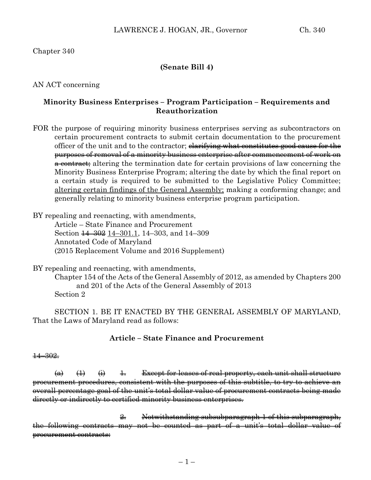### **(Senate Bill 4)**

AN ACT concerning

## **Minority Business Enterprises – Program Participation – Requirements and Reauthorization**

FOR the purpose of requiring minority business enterprises serving as subcontractors on certain procurement contracts to submit certain documentation to the procurement officer of the unit and to the contractor; <del>clarifying what constitutes good cause for the</del> purposes of removal of a minority business enterprise after commencement of work on a contract; altering the termination date for certain provisions of law concerning the Minority Business Enterprise Program; altering the date by which the final report on a certain study is required to be submitted to the Legislative Policy Committee; altering certain findings of the General Assembly; making a conforming change; and generally relating to minority business enterprise program participation.

BY repealing and reenacting, with amendments,

Article – State Finance and Procurement Section  $\frac{14-302}{2}$  14-301.1, 14-303, and 14-309 Annotated Code of Maryland (2015 Replacement Volume and 2016 Supplement)

BY repealing and reenacting, with amendments,

Chapter 154 of the Acts of the General Assembly of 2012, as amended by Chapters 200 and 201 of the Acts of the General Assembly of 2013 Section 2

SECTION 1. BE IT ENACTED BY THE GENERAL ASSEMBLY OF MARYLAND, That the Laws of Maryland read as follows:

# **Article – State Finance and Procurement**

#### $\frac{14 - 302}{5}$

 $\overline{a}$   $\overline{a}$   $\overline{b}$   $\overline{a}$   $\overline{b}$   $\overline{c}$   $\overline{b}$   $\overline{c}$   $\overline{c}$   $\overline{c}$   $\overline{c}$   $\overline{c}$   $\overline{c}$   $\overline{c}$   $\overline{c}$   $\overline{c}$   $\overline{c}$   $\overline{c}$   $\overline{c}$   $\overline{c}$   $\overline{c}$   $\overline{c}$   $\overline{c}$   $\overline{c}$   $\overline{$ procurement procedures, consistent with the purposes of this subtitle, to try to achieve an overall percentage goal of the unit's total dollar value of procurement contracts being made directly or indirectly to certified minority business enterprises.

2. Notwithstanding subsubparagraph 1 of this subparagraph, the following contracts may not be counted as part of a unit's total dollar value of procurement contracts: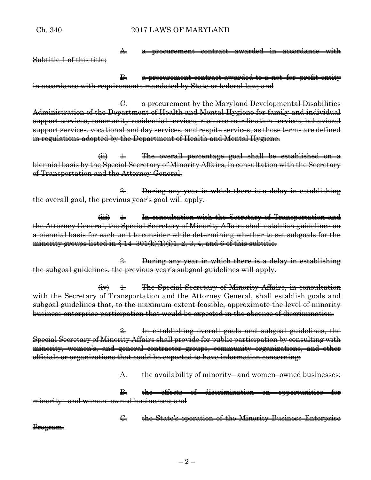Ch. 340 2017 LAWS OF MARYLAND

A. a procurement contract awarded in accordance with Subtitle 1 of this title;

B. a procurement contract awarded to a not–for–profit entity in accordance with requirements mandated by State or federal law; and

C. a procurement by the Maryland Developmental Disabilities Administration of the Department of Health and Mental Hygiene for family and individual support services, community residential services, resource coordination services, behavioral support services, vocational and day services, and respite services, as those terms are defined in regulations adopted by the Department of Health and Mental Hygiene.

 $\overrightarrow{ii}$  1. The overall percentage goal shall be established on a biennial basis by the Special Secretary of Minority Affairs, in consultation with the Secretary of Transportation and the Attorney General.

2. During any year in which there is a delay in establishing the overall goal, the previous year's goal will apply.

 $(iii)$   $\pm$  In consultation with the Secretary of Transportation and the Attorney General, the Special Secretary of Minority Affairs shall establish guidelines on a biennial basis for each unit to consider while determining whether to set subgoals for the minority groups listed in  $\S 14-301(k)(1)(i)1, 2, 3, 4$ , and 6 of this subtitle.

2. During any year in which there is a delay in establishing the subgoal guidelines, the previous year's subgoal guidelines will apply.

 $\overrightarrow{4v}$   $\pm$  The Special Secretary of Minority Affairs, in consultation with the Secretary of Transportation and the Attorney General, shall establish goals and subgoal guidelines that, to the maximum extent feasible, approximate the level of minority business enterprise participation that would be expected in the absence of discrimination.

2. In establishing overall goals and subgoal guidelines, the Special Secretary of Minority Affairs shall provide for public participation by consulting with minority, women's, and general contractor groups, community organizations, and other officials or organizations that could be expected to have information concerning:

A. the availability of minority– and women–owned businesses;

B. the effects of discrimination on opportunities for minority– and women–owned businesses; and

C. the State's operation of the Minority Business Enterprise

Program.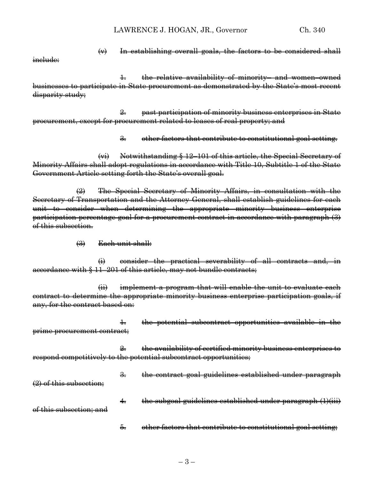inelude:

 $\leftrightarrow$  In establishing overall goals, the factors to be considered shall

1. the relative availability of minority– and women–owned businesses to participate in State procurement as demonstrated by the State's most recent disparity study;

2. past participation of minority business enterprises in State procurement, except for procurement related to leases of real property; and

3. other factors that contribute to constitutional goal setting.

(vi) Notwithstanding § 12–101 of this article, the Special Secretary of Minority Affairs shall adopt regulations in accordance with Title 10, Subtitle 1 of the State Government Article setting forth the State's overall goal.

(2) The Special Secretary of Minority Affairs, in consultation with the Secretary of Transportation and the Attorney General, shall establish guidelines for each unit to consider when determining the appropriate minority business enterprise participation percentage goal for a procurement contract in accordance with paragraph (3) of this subsection.

(3) Each unit shall:

(i) consider the practical severability of all contracts and, in accordance with § 11–201 of this article, may not bundle contracts;

(ii) implement a program that will enable the unit to evaluate each contract to determine the appropriate minority business enterprise participation goals, if any, for the contract based on:

1. the potential subcontract opportunities available in the prime procurement contract;

2. the availability of certified minority business enterprises to respond competitively to the potential subcontract opportunities;

3. the contract goal guidelines established under paragraph

(2) of this subsection;

- 4. the subgoal guidelines established under paragraph (1)(iii) of this subsection; and
	- 5. other factors that contribute to constitutional goal setting;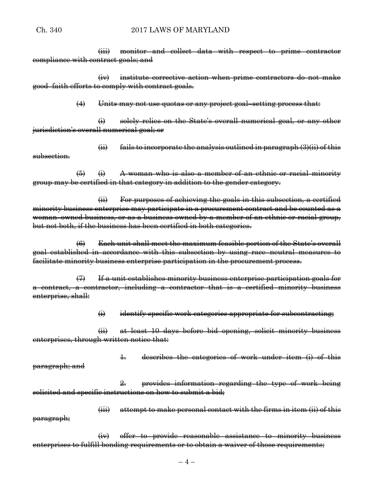(iii) monitor and collect data with respect to prime contractor compliance with contract goals; and

(iv) institute corrective action when prime contractors do not make good–faith efforts to comply with contract goals.

 $(4)$  Units may not use quotas or any project goal–setting process that:

(i) solely relies on the State's overall numerical goal, or any other jurisdiction's overall numerical goal; or

 $\overleftrightarrow{\textbf{ii}}$  fails to incorporate the analysis outlined in paragraph (3)(ii) of this subsection.

 $(5)$   $(i)$  A woman who is also a member of an ethnic or racial minority group may be certified in that category in addition to the gender category.

(ii) For purposes of achieving the goals in this subsection, a certified minority business enterprise may participate in a procurement contract and be counted as a woman–owned business, or as a business owned by a member of an ethnic or racial group, but not both, if the business has been certified in both categories.

(6) Each unit shall meet the maximum feasible portion of the State's overall goal established in accordance with this subsection by using race–neutral measures to facilitate minority business enterprise participation in the procurement process.

(7) If a unit establishes minority business enterprise participation goals for a contract, a contractor, including a contractor that is a certified minority business enterprise, shall:

 $\leftrightarrow$  identify specific work categories appropriate for subcontracting;

(ii) at least 10 days before bid opening, solicit minority business enterprises, through written notice that:

1. describes the categories of work under item (i) of this paragraph; and

2. provides information regarding the type of work being solicited and specific instructions on how to submit a bid;

(iii) attempt to make personal contact with the firms in item (ii) of this paragraph;

(iv) offer to provide reasonable assistance to minority business enterprises to fulfill bonding requirements or to obtain a waiver of those requirements;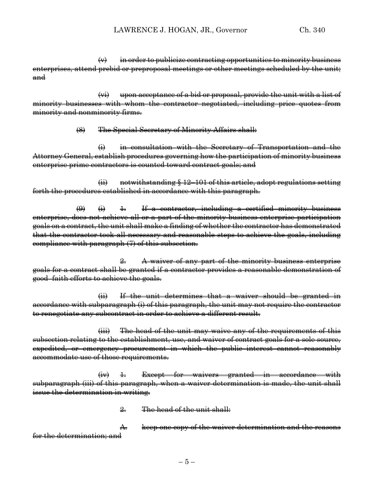$\leftrightarrow$  in order to publicize contracting opportunities to minority business enterprises, attend prebid or preproposal meetings or other meetings scheduled by the unit; and

(vi) upon acceptance of a bid or proposal, provide the unit with a list of minority businesses with whom the contractor negotiated, including price quotes from minority and nonminority firms.

(8) The Special Secretary of Minority Affairs shall:

(i) in consultation with the Secretary of Transportation and the Attorney General, establish procedures governing how the participation of minority business enterprise prime contractors is counted toward contract goals; and

(ii) notwithstanding § 12–101 of this article, adopt regulations setting forth the procedures established in accordance with this paragraph.

 $\overline{(*)}$   $\overline{4}$   $\overline{1}$  a contractor, including a certified minority business enterprise, does not achieve all or a part of the minority business enterprise participation goals on a contract, the unit shall make a finding of whether the contractor has demonstrated that the contractor took all necessary and reasonable steps to achieve the goals, including compliance with paragraph (7) of this subsection.

2. A waiver of any part of the minority business enterprise goals for a contract shall be granted if a contractor provides a reasonable demonstration of good–faith efforts to achieve the goals.

(ii) If the unit determines that a waiver should be granted in accordance with subparagraph (i) of this paragraph, the unit may not require the contractor to renegotiate any subcontract in order to achieve a different result.

(iii) The head of the unit may waive any of the requirements of this subsection relating to the establishment, use, and waiver of contract goals for a sole source, expedited, or emergency procurement in which the public interest cannot reasonably accommodate use of those requirements.

 $(iv)$  1. Except for waivers granted in accordance with subparagraph (iii) of this paragraph, when a waiver determination is made, the unit shall issue the determination in writing.

2. The head of the unit shall:

A. keep one copy of the waiver determination and the reasons for the determination; and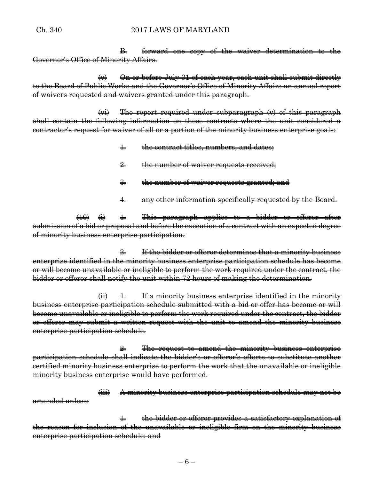#### Ch. 340 2017 LAWS OF MARYLAND

B. forward one copy of the waiver determination to the Governor's Office of Minority Affairs.

 $\langle v \rangle$  On or before July 31 of each year, each unit shall submit directly to the Board of Public Works and the Governor's Office of Minority Affairs an annual report of waivers requested and waivers granted under this paragraph.

(vi) The report required under subparagraph (v) of this paragraph shall contain the following information on those contracts where the unit considered a contractor's request for waiver of all or a portion of the minority business enterprise goals:

- 1. the contract titles, numbers, and dates;
- 2. the number of waiver requests received:
- 3. the number of waiver requests granted; and
- 4. any other information specifically requested by the Board.

 $(10)$   $(i)$   $\pm$  This paragraph applies to a bidder or offeror after submission of a bid or proposal and before the execution of a contract with an expected degree of minority business enterprise participation.

2. If the bidder or offeror determines that a minority business enterprise identified in the minority business enterprise participation schedule has become or will become unavailable or ineligible to perform the work required under the contract, the bidder or offeror shall notify the unit within 72 hours of making the determination.

 $\overrightarrow{H}$  1. If a minority business enterprise identified in the minority business enterprise participation schedule submitted with a bid or offer has become or will become unavailable or ineligible to perform the work required under the contract, the bidder or offeror may submit a written request with the unit to amend the minority business enterprise participation schedule.

2. The request to amend the minority business enterprise participation schedule shall indicate the bidder's or offeror's efforts to substitute another certified minority business enterprise to perform the work that the unavailable or ineligible minority business enterprise would have performed.

(iii) A minority business enterprise participation schedule may not be amended unless:

1. the bidder or offeror provides a satisfactory explanation of the reason for inclusion of the unavailable or ineligible firm on the minority business enterprise participation schedule; and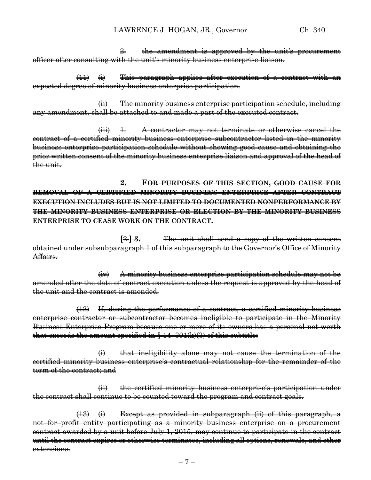2. the amendment is approved by the unit's procurement officer after consulting with the unit's minority business enterprise liaison.

 $(11)$   $(i)$  This paragraph applies after execution of a contract with an expected degree of minority business enterprise participation.

(ii) The minority business enterprise participation schedule, including any amendment, shall be attached to and made a part of the executed contract.

 $(iii)$  4. A contractor may not terminate or otherwise cancel the contract of a certified minority business enterprise subcontractor listed in the minority business enterprise participation schedule without showing good cause and obtaining the prior written consent of the minority business enterprise liaison and approval of the head of the unit.

**2. FOR PURPOSES OF THIS SECTION, GOOD CAUSE FOR REMOVAL OF A CERTIFIED MINORITY BUSINESS ENTERPRISE AFTER CONTRACT EXECUTION INCLUDES BUT IS NOT LIMITED TO DOCUMENTED NONPERFORMANCE BY THE MINORITY BUSINESS ENTERPRISE OR ELECTION BY THE MINORITY BUSINESS ENTERPRISE TO CEASE WORK ON THE CONTRACT.**

**[**2.**] 3.** The unit shall send a copy of the written consent obtained under subsubparagraph 1 of this subparagraph to the Governor's Office of Minority Affairs.

(iv) A minority business enterprise participation schedule may not be amended after the date of contract execution unless the request is approved by the head of the unit and the contract is amended.

(12) If, during the performance of a contract, a certified minority business enterprise contractor or subcontractor becomes ineligible to participate in the Minority Business Enterprise Program because one or more of its owners has a personal net worth that exceeds the amount specified in  $§$  14–301(k)(3) of this subtitle:

(i) that ineligibility alone may not cause the termination of the certified minority business enterprise's contractual relationship for the remainder of the term of the contract; and

(ii) the certified minority business enterprise's participation under the contract shall continue to be counted toward the program and contract goals.

 $(13)$   $(i)$  Except as provided in subparagraph (ii) of this paragraph, a not–for–profit entity participating as a minority business enterprise on a procurement contract awarded by a unit before July 1, 2015, may continue to participate in the contract until the contract expires or otherwise terminates, including all options, renewals, and other extensions.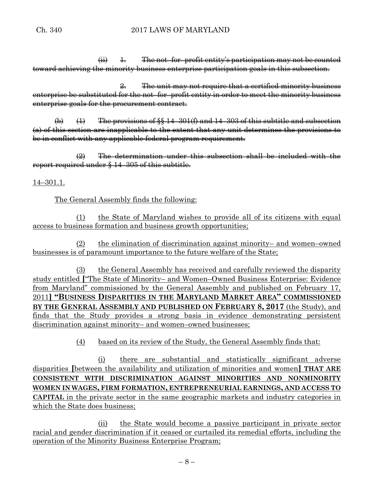$\overrightarrow{ii}$   $\overrightarrow{1}$ . The not–for–profit entity's participation may not be counted toward achieving the minority business enterprise participation goals in this subsection.

2. The unit may not require that a certified minority business enterprise be substituted for the not–for–profit entity in order to meet the minority business enterprise goals for the procurement contract.

 $\bigoplus$   $\bigoplus$  The provisions of §§ 14–301(f) and 14–303 of this subtitle and subsection (a) of this section are inapplicable to the extent that any unit determines the provisions to be in conflict with any applicable federal program requirement.

 $\left( 2\right)$  The determination under this subsection shall be included with the report required under § 14–305 of this subtitle.

14–301.1.

The General Assembly finds the following:

(1) the State of Maryland wishes to provide all of its citizens with equal access to business formation and business growth opportunities;

(2) the elimination of discrimination against minority– and women–owned businesses is of paramount importance to the future welfare of the State;

(3) the General Assembly has received and carefully reviewed the disparity study entitled **[**"The State of Minority– and Women–Owned Business Enterprise: Evidence from Maryland" commissioned by the General Assembly and published on February 17, 2011**] "BUSINESS DISPARITIES IN THE MARYLAND MARKET AREA" COMMISSIONED BY THE GENERAL ASSEMBLY AND PUBLISHED ON FEBRUARY 8, 2017** (the Study), and finds that the Study provides a strong basis in evidence demonstrating persistent discrimination against minority– and women–owned businesses;

(4) based on its review of the Study, the General Assembly finds that:

(i) there are substantial and statistically significant adverse disparities **[**between the availability and utilization of minorities and women**] THAT ARE CONSISTENT WITH DISCRIMINATION AGAINST MINORITIES AND NONMINORITY WOMEN IN WAGES, FIRM FORMATION, ENTREPRENEURIAL EARNINGS, AND ACCESS TO CAPITAL** in the private sector in the same geographic markets and industry categories in which the State does business;

(ii) the State would become a passive participant in private sector racial and gender discrimination if it ceased or curtailed its remedial efforts, including the operation of the Minority Business Enterprise Program;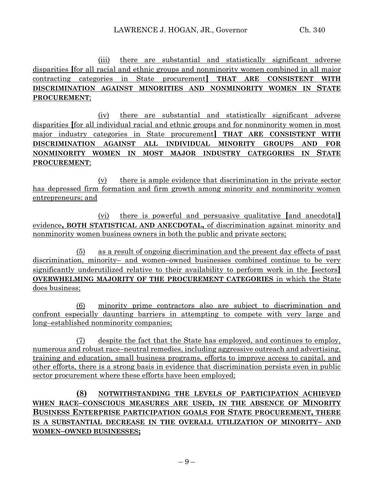(iii) there are substantial and statistically significant adverse disparities **[**for all racial and ethnic groups and nonminority women combined in all major contracting categories in State procurement**] THAT ARE CONSISTENT WITH DISCRIMINATION AGAINST MINORITIES AND NONMINORITY WOMEN IN STATE PROCUREMENT**;

(iv) there are substantial and statistically significant adverse disparities **[**for all individual racial and ethnic groups and for nonminority women in most major industry categories in State procurement**] THAT ARE CONSISTENT WITH DISCRIMINATION AGAINST ALL INDIVIDUAL MINORITY GROUPS AND FOR NONMINORITY WOMEN IN MOST MAJOR INDUSTRY CATEGORIES IN STATE PROCUREMENT**;

(v) there is ample evidence that discrimination in the private sector has depressed firm formation and firm growth among minority and nonminority women entrepreneurs; and

(vi) there is powerful and persuasive qualitative **[**and anecdotal**]** evidence**, BOTH STATISTICAL AND ANECDOTAL,** of discrimination against minority and nonminority women business owners in both the public and private sectors;

(5) as a result of ongoing discrimination and the present day effects of past discrimination, minority– and women–owned businesses combined continue to be very significantly underutilized relative to their availability to perform work in the **[**sectors**] OVERWHELMING MAJORITY OF THE PROCUREMENT CATEGORIES** in which the State does business;

(6) minority prime contractors also are subject to discrimination and confront especially daunting barriers in attempting to compete with very large and long–established nonminority companies;

(7) despite the fact that the State has employed, and continues to employ, numerous and robust race–neutral remedies, including aggressive outreach and advertising, training and education, small business programs, efforts to improve access to capital, and other efforts, there is a strong basis in evidence that discrimination persists even in public sector procurement where these efforts have been employed;

**(8) NOTWITHSTANDING THE LEVELS OF PARTICIPATION ACHIEVED WHEN RACE–CONSCIOUS MEASURES ARE USED, IN THE ABSENCE OF MINORITY BUSINESS ENTERPRISE PARTICIPATION GOALS FOR STATE PROCUREMENT, THERE IS A SUBSTANTIAL DECREASE IN THE OVERALL UTILIZATION OF MINORITY– AND WOMEN–OWNED BUSINESSES;**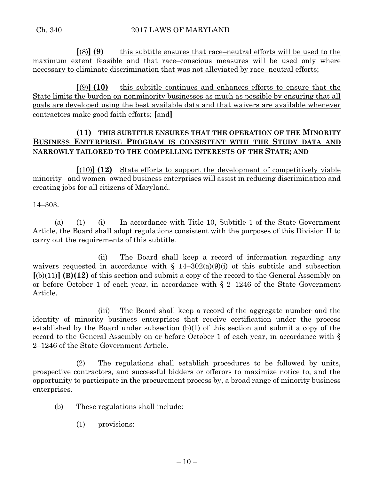**[**(8)**] (9)** this subtitle ensures that race–neutral efforts will be used to the maximum extent feasible and that race–conscious measures will be used only where necessary to eliminate discrimination that was not alleviated by race–neutral efforts;

**[**(9)**] (10)** this subtitle continues and enhances efforts to ensure that the State limits the burden on nonminority businesses as much as possible by ensuring that all goals are developed using the best available data and that waivers are available whenever contractors make good faith efforts; **[**and**]**

# **(11) THIS SUBTITLE ENSURES THAT THE OPERATION OF THE MINORITY BUSINESS ENTERPRISE PROGRAM IS CONSISTENT WITH THE STUDY DATA AND NARROWLY TAILORED TO THE COMPELLING INTERESTS OF THE STATE; AND**

**[**(10)**] (12)** State efforts to support the development of competitively viable minority– and women–owned business enterprises will assist in reducing discrimination and creating jobs for all citizens of Maryland.

14–303.

(a) (1) (i) In accordance with Title 10, Subtitle 1 of the State Government Article, the Board shall adopt regulations consistent with the purposes of this Division II to carry out the requirements of this subtitle.

(ii) The Board shall keep a record of information regarding any waivers requested in accordance with  $\S$  14–302(a)(9)(i) of this subtitle and subsection **[**(b)(11)**] (B)(12)** of this section and submit a copy of the record to the General Assembly on or before October 1 of each year, in accordance with § 2–1246 of the State Government Article.

(iii) The Board shall keep a record of the aggregate number and the identity of minority business enterprises that receive certification under the process established by the Board under subsection (b)(1) of this section and submit a copy of the record to the General Assembly on or before October 1 of each year, in accordance with § 2–1246 of the State Government Article.

(2) The regulations shall establish procedures to be followed by units, prospective contractors, and successful bidders or offerors to maximize notice to, and the opportunity to participate in the procurement process by, a broad range of minority business enterprises.

- (b) These regulations shall include:
	- (1) provisions: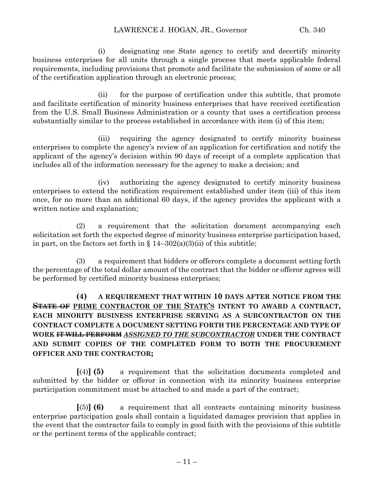(i) designating one State agency to certify and decertify minority business enterprises for all units through a single process that meets applicable federal requirements, including provisions that promote and facilitate the submission of some or all of the certification application through an electronic process;

(ii) for the purpose of certification under this subtitle, that promote and facilitate certification of minority business enterprises that have received certification from the U.S. Small Business Administration or a county that uses a certification process substantially similar to the process established in accordance with item (i) of this item;

(iii) requiring the agency designated to certify minority business enterprises to complete the agency's review of an application for certification and notify the applicant of the agency's decision within 90 days of receipt of a complete application that includes all of the information necessary for the agency to make a decision; and

(iv) authorizing the agency designated to certify minority business enterprises to extend the notification requirement established under item (iii) of this item once, for no more than an additional 60 days, if the agency provides the applicant with a written notice and explanation;

(2) a requirement that the solicitation document accompanying each solicitation set forth the expected degree of minority business enterprise participation based, in part, on the factors set forth in  $\S 14-302(a)(3)(ii)$  of this subtitle;

(3) a requirement that bidders or offerors complete a document setting forth the percentage of the total dollar amount of the contract that the bidder or offeror agrees will be performed by certified minority business enterprises;

**(4) A REQUIREMENT THAT WITHIN 10 DAYS AFTER NOTICE FROM THE STATE OF PRIME CONTRACTOR OF THE STATE'S INTENT TO AWARD A CONTRACT, EACH MINORITY BUSINESS ENTERPRISE SERVING AS A SUBCONTRACTOR ON THE CONTRACT COMPLETE A DOCUMENT SETTING FORTH THE PERCENTAGE AND TYPE OF WORK IT WILL PERFORM** *ASSIGNED TO THE SUBCONTRACTOR* **UNDER THE CONTRACT AND SUBMIT COPIES OF THE COMPLETED FORM TO BOTH THE PROCUREMENT OFFICER AND THE CONTRACTOR;**

**[**(4)**] (5)** a requirement that the solicitation documents completed and submitted by the bidder or offeror in connection with its minority business enterprise participation commitment must be attached to and made a part of the contract;

**[**(5)**] (6)** a requirement that all contracts containing minority business enterprise participation goals shall contain a liquidated damages provision that applies in the event that the contractor fails to comply in good faith with the provisions of this subtitle or the pertinent terms of the applicable contract;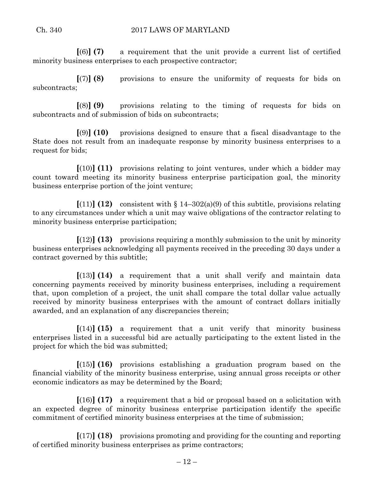**[**(6)**] (7)** a requirement that the unit provide a current list of certified minority business enterprises to each prospective contractor;

**[**(7)**] (8)** provisions to ensure the uniformity of requests for bids on subcontracts;

**[**(8)**] (9)** provisions relating to the timing of requests for bids on subcontracts and of submission of bids on subcontracts;

**[**(9)**] (10)** provisions designed to ensure that a fiscal disadvantage to the State does not result from an inadequate response by minority business enterprises to a request for bids;

**[**(10)**] (11)** provisions relating to joint ventures, under which a bidder may count toward meeting its minority business enterprise participation goal, the minority business enterprise portion of the joint venture;

 $[(11)]$  (12) consistent with  $\{14-302(a)(9)$  of this subtitle, provisions relating to any circumstances under which a unit may waive obligations of the contractor relating to minority business enterprise participation;

**[**(12)**] (13)** provisions requiring a monthly submission to the unit by minority business enterprises acknowledging all payments received in the preceding 30 days under a contract governed by this subtitle;

**[**(13)**] (14)** a requirement that a unit shall verify and maintain data concerning payments received by minority business enterprises, including a requirement that, upon completion of a project, the unit shall compare the total dollar value actually received by minority business enterprises with the amount of contract dollars initially awarded, and an explanation of any discrepancies therein;

**[**(14)**] (15)** a requirement that a unit verify that minority business enterprises listed in a successful bid are actually participating to the extent listed in the project for which the bid was submitted;

**[**(15)**] (16)** provisions establishing a graduation program based on the financial viability of the minority business enterprise, using annual gross receipts or other economic indicators as may be determined by the Board;

**[**(16)**] (17)** a requirement that a bid or proposal based on a solicitation with an expected degree of minority business enterprise participation identify the specific commitment of certified minority business enterprises at the time of submission;

**[**(17)**] (18)** provisions promoting and providing for the counting and reporting of certified minority business enterprises as prime contractors;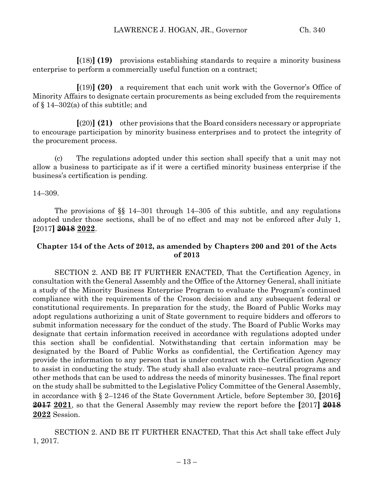**[**(18)**] (19)** provisions establishing standards to require a minority business enterprise to perform a commercially useful function on a contract;

**[**(19)**] (20)** a requirement that each unit work with the Governor's Office of Minority Affairs to designate certain procurements as being excluded from the requirements of § 14–302(a) of this subtitle; and

**[**(20)**] (21)** other provisions that the Board considers necessary or appropriate to encourage participation by minority business enterprises and to protect the integrity of the procurement process.

(c) The regulations adopted under this section shall specify that a unit may not allow a business to participate as if it were a certified minority business enterprise if the business's certification is pending.

14–309.

The provisions of §§ 14–301 through 14–305 of this subtitle, and any regulations adopted under those sections, shall be of no effect and may not be enforced after July 1, **[**2017**] 2018 2022**.

# **Chapter 154 of the Acts of 2012, as amended by Chapters 200 and 201 of the Acts of 2013**

SECTION 2. AND BE IT FURTHER ENACTED, That the Certification Agency, in consultation with the General Assembly and the Office of the Attorney General, shall initiate a study of the Minority Business Enterprise Program to evaluate the Program's continued compliance with the requirements of the Croson decision and any subsequent federal or constitutional requirements. In preparation for the study, the Board of Public Works may adopt regulations authorizing a unit of State government to require bidders and offerors to submit information necessary for the conduct of the study. The Board of Public Works may designate that certain information received in accordance with regulations adopted under this section shall be confidential. Notwithstanding that certain information may be designated by the Board of Public Works as confidential, the Certification Agency may provide the information to any person that is under contract with the Certification Agency to assist in conducting the study. The study shall also evaluate race–neutral programs and other methods that can be used to address the needs of minority businesses. The final report on the study shall be submitted to the Legislative Policy Committee of the General Assembly, in accordance with § 2–1246 of the State Government Article, before September 30, **[**2016**] 2017 2021**, so that the General Assembly may review the report before the **[**2017**] 2018 2022** Session.

SECTION 2. AND BE IT FURTHER ENACTED, That this Act shall take effect July 1, 2017.